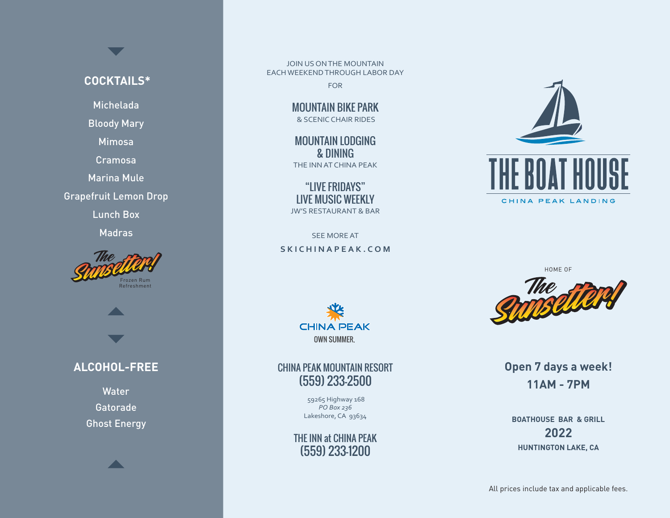#### **COCKTAILS\***

Michelada

Bloody Mary

Mimosa

Cramosa

Marina Mule

Grapefruit Lemon Drop

Lunch Box

Madras





### **ALCOHOL-FREE**

Water Gatorade Ghost Energy



JOIN US ON THE MOUNTAIN EACH WEEKEND THROUGH LABOR DAY

FOR

MOUNTAIN BIKE PARK & SCENIC CHAIR RIDES

MOUNTAIN LODGING & DINING THE INN AT CHINA PEAK

"LIVE FRIDAYS" LIVE MUSIC WEEKLY JW'S RESTAURANT & BAR

SEE MORE AT **SKICHINAPEAK.COM**



#### CHINA PEAK MOUNTAIN RESORT (559) 233-2500

 59265 Highway 168 *PO Box 236* Lakeshore, CA 93634

#### THE INN at CHINA PEAK (559) 233-1200





**Open 7 days a week! 11AM - 7PM**

**BOATHOUSE BAR & GRILL 2022 HUNTINGTON LAKE, CA**